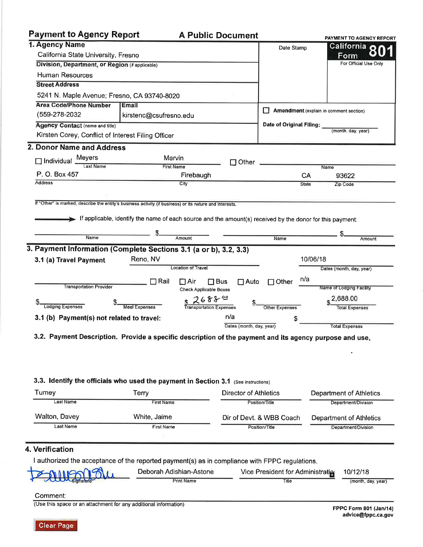# **Dowmont to Anoney Donart**

|  | <b>A Public Document</b> |
|--|--------------------------|
|--|--------------------------|

| Payment to Agency Report                           |                                                                                                           | A Public Document            |                                   |                                        | PAYMENT TO AGENCY REPORT       |
|----------------------------------------------------|-----------------------------------------------------------------------------------------------------------|------------------------------|-----------------------------------|----------------------------------------|--------------------------------|
| 1. Agency Name                                     |                                                                                                           |                              | Date Stamp                        |                                        | California o                   |
| California State University, Fresno                |                                                                                                           |                              |                                   |                                        | Form                           |
| Division, Department, or Region (if applicable)    |                                                                                                           |                              |                                   |                                        | For Official Use Only          |
| <b>Human Resources</b>                             |                                                                                                           |                              |                                   |                                        |                                |
| <b>Street Address</b>                              |                                                                                                           |                              |                                   |                                        |                                |
| 5241 N. Maple Avenue; Fresno, CA 93740-8020        |                                                                                                           |                              |                                   |                                        |                                |
| <b>Area Code/Phone Number</b>                      | Email                                                                                                     |                              |                                   |                                        |                                |
| (559-278-2032                                      | kirstenc@csufresno.edu                                                                                    |                              |                                   | Amendment (explain in comment section) |                                |
| <b>Agency Contact (name and title)</b>             |                                                                                                           |                              | Date of Original Filing:          |                                        |                                |
| Kirsten Corey, Conflict of Interest Filing Officer |                                                                                                           |                              |                                   |                                        | (month, day, year)             |
| 2. Donor Name and Address                          |                                                                                                           |                              |                                   |                                        |                                |
| Meyers                                             | Marvin                                                                                                    |                              |                                   |                                        |                                |
| $\Box$ Individual<br>Last Name                     | <b>First Name</b>                                                                                         | $\Box$ Other                 |                                   | Name                                   |                                |
| P. O. Box 457                                      | Firebaugh                                                                                                 |                              |                                   | CA                                     | 93622                          |
| <b>Address</b>                                     | City                                                                                                      |                              |                                   | <b>State</b>                           | Zip Code                       |
|                                                    |                                                                                                           |                              |                                   |                                        |                                |
|                                                    | If "Other" is marked, describe the entity's business activity (if business) or its nature and interests.  |                              |                                   |                                        |                                |
|                                                    |                                                                                                           |                              |                                   |                                        |                                |
|                                                    | If applicable, identify the name of each source and the amount(s) received by the donor for this payment: |                              |                                   |                                        |                                |
| Name                                               | Amount                                                                                                    |                              |                                   |                                        |                                |
|                                                    |                                                                                                           |                              | $\overline{\mathsf{Name}}$        |                                        | Amount                         |
|                                                    | 3. Payment Information (Complete Sections 3.1 (a or b), 3.2, 3.3)                                         |                              |                                   |                                        |                                |
| 3.1 (a) Travel Payment                             | Reno, NV                                                                                                  |                              |                                   | 10/06/18                               |                                |
|                                                    | Location of Travel                                                                                        |                              |                                   |                                        | Dates (month, day, year)       |
|                                                    | $\Box$ Rail<br>$\Box$ Air                                                                                 | $\Box$ Bus<br>$\square$ Auto | $\Box$ Other                      | n/a                                    |                                |
| <b>Transportation Provider</b>                     | <b>Check Applicable Boxes</b>                                                                             |                              |                                   |                                        | Name of Lodging Facility       |
|                                                    |                                                                                                           | 6888                         |                                   |                                        | 2.688.00                       |
| <b>Lodging Expenses</b>                            | <b>Meal Expenses</b>                                                                                      | ransportation Expenses       | Other Expenses                    |                                        | <b>Total Expenses</b>          |
| 3.1 (b) Payment(s) not related to travel:          |                                                                                                           | n/a                          | \$                                |                                        |                                |
|                                                    |                                                                                                           | Dates (month, day, year)     |                                   |                                        | <b>Total Expenses</b>          |
|                                                    | 3.2. Payment Description. Provide a specific description of the payment and its agency purpose and use.   |                              |                                   |                                        |                                |
|                                                    | To attend the Fresno State vs. Nevada football game on 10/06/18.                                          |                              |                                   |                                        |                                |
|                                                    |                                                                                                           |                              |                                   |                                        |                                |
|                                                    |                                                                                                           |                              |                                   |                                        |                                |
|                                                    | 3.3. Identify the officials who used the payment in Section 3.1 (See instructions)                        |                              |                                   |                                        |                                |
| Tumey                                              | Terry                                                                                                     | <b>Director of Athletics</b> |                                   |                                        |                                |
| Last Name                                          | <b>First Name</b>                                                                                         |                              | Position/Title                    |                                        | <b>Department of Athletics</b> |
|                                                    |                                                                                                           |                              |                                   |                                        | Department/Division            |
| <b>Walton, Davey</b>                               | White, Jaime                                                                                              |                              | Dir of Devt. & WBB Coach          |                                        | <b>Department of Athletics</b> |
| Last Name                                          | <b>First Name</b>                                                                                         |                              | Position/Title                    |                                        | Department/Division            |
|                                                    |                                                                                                           |                              |                                   |                                        |                                |
| 4. Verification                                    |                                                                                                           |                              |                                   |                                        |                                |
|                                                    |                                                                                                           |                              |                                   |                                        |                                |
|                                                    | I authorized the acceptance of the reported payment(s) as in compliance with FPPC regulations.            |                              |                                   |                                        |                                |
|                                                    | Deborah Adishian-Astone                                                                                   |                              | Vice President for Administration |                                        | 10/12/18                       |
|                                                    | <b>Print Name</b>                                                                                         |                              | Title                             |                                        | (month, day, year)             |
|                                                    |                                                                                                           |                              |                                   |                                        |                                |
| Comment:                                           |                                                                                                           |                              |                                   |                                        |                                |

(Use this space or an attachment for any additional information)

FPPC Form 801 (Jan/14)<br>advice@fppc.ca.gov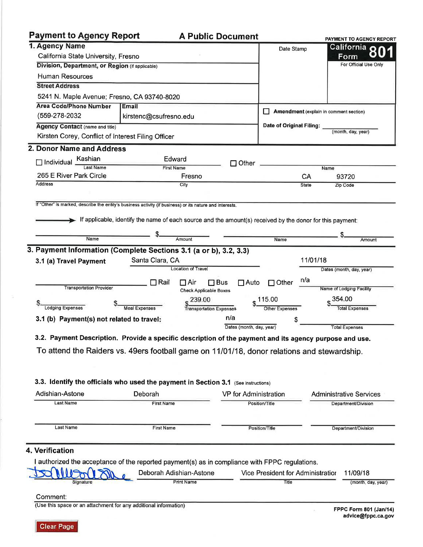# **Payment to Agency Report**

|  |  |  | <b>A Public Document</b> |  |
|--|--|--|--------------------------|--|
|--|--|--|--------------------------|--|

| ι αγιπσιπ το Αgency Κοροπ                                                                                                                                                                            |                         | A PUDIIC DOCUMENT                                                                                         |                                   | PAYMENT TO AGENCY REPORT               |
|------------------------------------------------------------------------------------------------------------------------------------------------------------------------------------------------------|-------------------------|-----------------------------------------------------------------------------------------------------------|-----------------------------------|----------------------------------------|
| 1. Agency Name                                                                                                                                                                                       |                         |                                                                                                           | Date Stamp                        | California o                           |
| California State University, Fresno                                                                                                                                                                  |                         |                                                                                                           |                                   | Form                                   |
| Division, Department, or Region (if applicable)                                                                                                                                                      |                         |                                                                                                           |                                   | For Official Use Only                  |
| <b>Human Resources</b>                                                                                                                                                                               |                         |                                                                                                           |                                   |                                        |
| <b>Street Address</b>                                                                                                                                                                                |                         |                                                                                                           |                                   |                                        |
| 5241 N. Maple Avenue; Fresno, CA 93740-8020                                                                                                                                                          |                         |                                                                                                           |                                   |                                        |
| <b>Area Code/Phone Number</b>                                                                                                                                                                        | <b>Email</b>            |                                                                                                           |                                   |                                        |
| (559-278-2032                                                                                                                                                                                        | kirstenc@csufresno.edu  |                                                                                                           |                                   | Amendment (explain in comment section) |
| <b>Agency Contact (name and title)</b>                                                                                                                                                               |                         |                                                                                                           | Date of Original Filing:          |                                        |
| Kirsten Corey, Conflict of Interest Filing Officer                                                                                                                                                   |                         |                                                                                                           |                                   | (month, day, year)                     |
| 2. Donor Name and Address                                                                                                                                                                            |                         |                                                                                                           |                                   |                                        |
| Kashian<br>$\Box$ Individual                                                                                                                                                                         | Edward                  | $\Box$ Other                                                                                              |                                   |                                        |
| Last Name                                                                                                                                                                                            | <b>First Name</b>       |                                                                                                           |                                   | Name                                   |
| 265 E River Park Circle                                                                                                                                                                              |                         | Fresno                                                                                                    | CA                                | 93720                                  |
| Address                                                                                                                                                                                              |                         | City                                                                                                      | <b>State</b>                      | Zip Code                               |
| If "Other" is marked, describe the entity's business activity (if business) or its nature and interests.                                                                                             |                         |                                                                                                           |                                   |                                        |
|                                                                                                                                                                                                      |                         | If applicable, identify the name of each source and the amount(s) received by the donor for this payment: |                                   |                                        |
|                                                                                                                                                                                                      |                         |                                                                                                           |                                   |                                        |
| Name                                                                                                                                                                                                 |                         | Amount                                                                                                    | Name                              | Amount                                 |
| 3. Payment Information (Complete Sections 3.1 (a or b), 3.2, 3.3)                                                                                                                                    |                         |                                                                                                           |                                   |                                        |
| 3.1 (a) Travel Payment                                                                                                                                                                               | Santa Clara, CA         |                                                                                                           |                                   | 11/01/18                               |
|                                                                                                                                                                                                      |                         | <b>Location of Travel</b>                                                                                 |                                   | Dates (month, day, year)               |
|                                                                                                                                                                                                      |                         |                                                                                                           | n/a                               |                                        |
| <b>Transportation Provider</b>                                                                                                                                                                       | $\Box$ Rail             | $\Box$ Air<br>$\Box$ Bus<br><b>Check Applicable Boxes</b>                                                 | $\Box$ Auto<br>$\Box$ Other       | Name of Lodging Facility               |
|                                                                                                                                                                                                      |                         | 239.00                                                                                                    | 115.00                            | 354.00                                 |
| <b>Lodging Expenses</b>                                                                                                                                                                              | <b>Meal Expenses</b>    | Transportation Expenses                                                                                   | Other Expenses                    | <b>Total Expenses</b>                  |
|                                                                                                                                                                                                      |                         | n/a                                                                                                       |                                   |                                        |
| 3.1 (b) Payment(s) not related to travel:                                                                                                                                                            |                         |                                                                                                           | Dates (month, day, year)          | <b>Total Expenses</b>                  |
|                                                                                                                                                                                                      |                         |                                                                                                           |                                   |                                        |
| 3.2. Payment Description. Provide a specific description of the payment and its agency purpose and use.                                                                                              |                         |                                                                                                           |                                   |                                        |
| To attend the Raiders vs. 49ers football game on 11/01/18, donor relations and stewardship.<br>3.3. Identify the officials who used the payment in Section 3.1 (See instructions)<br>Adishian-Astone | Deborah                 |                                                                                                           | VP for Administration             | <b>Administrative Services</b>         |
| Last Name                                                                                                                                                                                            | <b>First Name</b>       |                                                                                                           | Position/Title                    | Department/Division                    |
|                                                                                                                                                                                                      |                         |                                                                                                           |                                   |                                        |
| Last Name                                                                                                                                                                                            | <b>First Name</b>       |                                                                                                           | Position/Title                    | Department/Division                    |
|                                                                                                                                                                                                      |                         |                                                                                                           |                                   |                                        |
|                                                                                                                                                                                                      |                         |                                                                                                           |                                   |                                        |
| 4. Verification                                                                                                                                                                                      |                         |                                                                                                           |                                   |                                        |
| I authorized the acceptance of the reported payment(s) as in compliance with FPPC regulations.                                                                                                       |                         |                                                                                                           |                                   |                                        |
|                                                                                                                                                                                                      | Deborah Adishian-Astone |                                                                                                           | Vice President for Administration | 11/09/18                               |
| Signature                                                                                                                                                                                            |                         | <b>Print Name</b>                                                                                         | Title                             | (month, day, year)                     |
|                                                                                                                                                                                                      |                         |                                                                                                           |                                   |                                        |
| Comment:                                                                                                                                                                                             |                         |                                                                                                           |                                   |                                        |
| (Use this space or an attachment for any additional information)                                                                                                                                     |                         |                                                                                                           |                                   | <b>EDDC Form 801 (Jan/14)</b>          |

 $\tilde{\mathcal{A}}$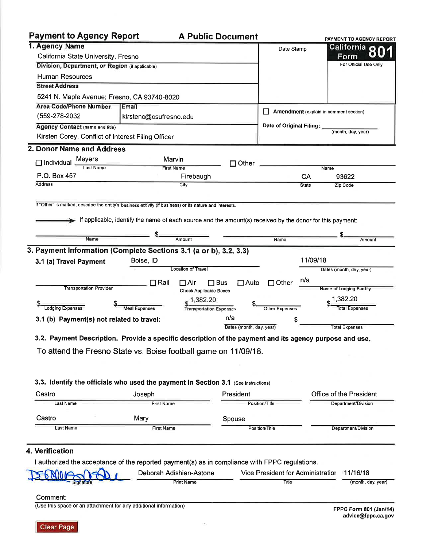#### **Payment to Agency Report A Public Document** PAYMENT TO AGENCY REPORT 1. Agency Name California Date Stamp California State University, Fresno Form For Official Use Only Division, Department, or Region (if applicable) Human Resources **Street Address** 5241 N. Maple Avenue; Fresno, CA 93740-8020 **Area Code/Phone Number** Email Amendment (explain in comment section) (559-278-2032 kirstenc@csufresno.edu Date of Original Filing: Agency Contact (name and title) (month, day, year) Kirsten Corey, Conflict of Interest Filing Officer 2. Donor Name and Address **Meyers** Marvin  $\Box$  Individual  $\Box$  Other . Last Name **First Name** Name P.O. Box 457 CA Firebaugh 93622 Address City State Zip Code If "Other" is marked, describe the entity's business activity (if business) or its nature and interests. If applicable, identify the name of each source and the amount(s) received by the donor for this payment: £. Name Amount  $\overline{\mathsf{Name}}$ Amount 3. Payment Information (Complete Sections 3.1 (a or b), 3.2, 3.3) 11/09/18 Boise, ID 3.1 (a) Travel Payment Location of Travel Dates (month, day, year) n/a  $\Box$  Rail  $\Box$  Air  $\Box$  Bus  $\Box$  Auto  $\Box$  Other **Transportation Provider** Name of Lodging Facility **Check Applicable Boxes** 1,382.20 1,382.20 S<br>Transportation Expenses Lodging Expenses **Meal Expenses** Other Expenses Total Expenses n/a 3.1 (b) Payment(s) not related to travel: Dates (month, day, year) **Total Expenses** 3.2. Payment Description. Provide a specific description of the payment and its agency purpose and use. To attend the Fresno State vs. Boise football game on 11/09/18.

### 3.3. Identify the officials who used the payment in Section 3.1 (See instructions)

| Department/Division<br>Position/Title |
|---------------------------------------|
|                                       |
|                                       |
| Department/Division<br>Position/Title |
|                                       |

I authorized the acceptance of the reported payment(s) as in compliance with FPPC regulations.

| JEENNA NELL | Deborah Adishian-Astone | Vice President for Administration | 11/16/18           |
|-------------|-------------------------|-----------------------------------|--------------------|
| Signature   | <b>Print Name</b>       | Title                             | (month, day, year) |
|             |                         |                                   |                    |

Comment:

(Use this space or an attachment for any additional information)